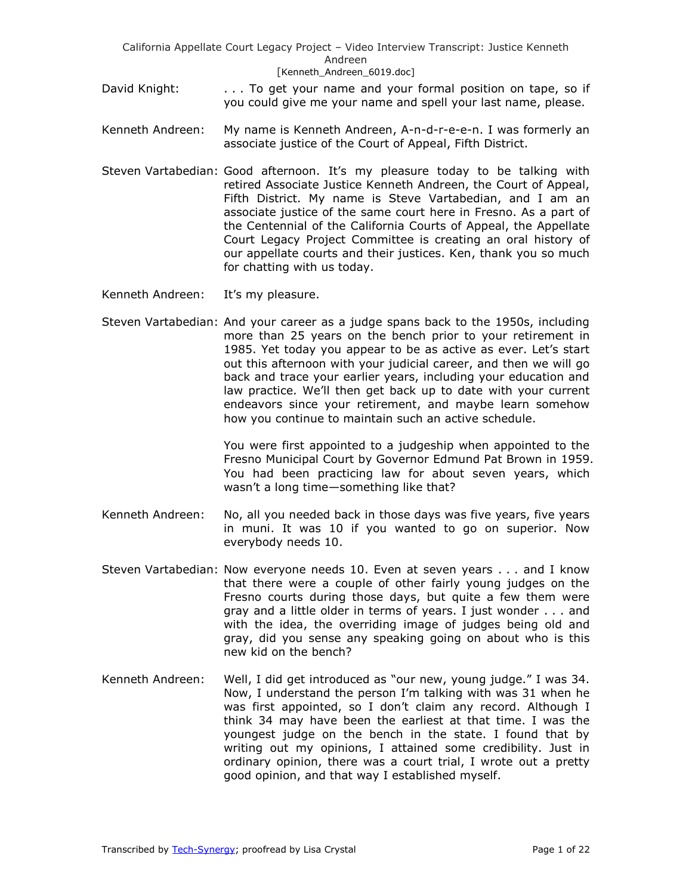- David Knight: . . . . To get your name and your formal position on tape, so if you could give me your name and spell your last name, please.
- Kenneth Andreen: My name is Kenneth Andreen, A-n-d-r-e-e-n. I was formerly an associate justice of the Court of Appeal, Fifth District.
- Steven Vartabedian: Good afternoon. It's my pleasure today to be talking with retired Associate Justice Kenneth Andreen, the Court of Appeal, Fifth District. My name is Steve Vartabedian, and I am an associate justice of the same court here in Fresno. As a part of the Centennial of the California Courts of Appeal, the Appellate Court Legacy Project Committee is creating an oral history of our appellate courts and their justices. Ken, thank you so much for chatting with us today.
- Kenneth Andreen: It's my pleasure.
- Steven Vartabedian: And your career as a judge spans back to the 1950s, including more than 25 years on the bench prior to your retirement in 1985. Yet today you appear to be as active as ever. Let's start out this afternoon with your judicial career, and then we will go back and trace your earlier years, including your education and law practice. We'll then get back up to date with your current endeavors since your retirement, and maybe learn somehow how you continue to maintain such an active schedule.

You were first appointed to a judgeship when appointed to the Fresno Municipal Court by Governor Edmund Pat Brown in 1959. You had been practicing law for about seven years, which wasn't a long time—something like that?

- Kenneth Andreen: No, all you needed back in those days was five years, five years in muni. It was 10 if you wanted to go on superior. Now everybody needs 10.
- Steven Vartabedian: Now everyone needs 10. Even at seven years . . . and I know that there were a couple of other fairly young judges on the Fresno courts during those days, but quite a few them were gray and a little older in terms of years. I just wonder . . . and with the idea, the overriding image of judges being old and gray, did you sense any speaking going on about who is this new kid on the bench?
- Kenneth Andreen: Well, I did get introduced as "our new, young judge." I was 34. Now, I understand the person I'm talking with was 31 when he was first appointed, so I don't claim any record. Although I think 34 may have been the earliest at that time. I was the youngest judge on the bench in the state. I found that by writing out my opinions, I attained some credibility. Just in ordinary opinion, there was a court trial, I wrote out a pretty good opinion, and that way I established myself.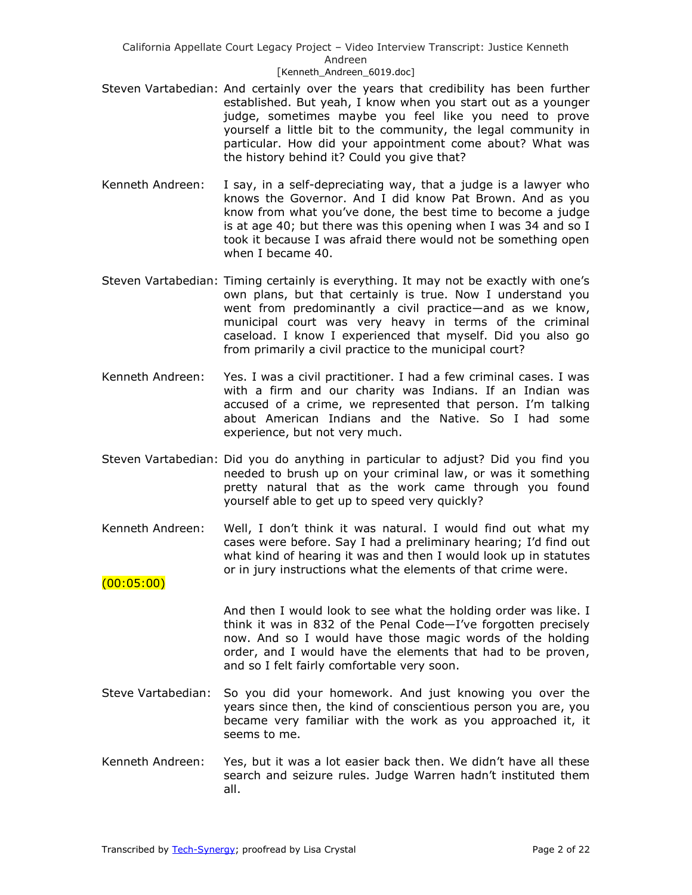- Steven Vartabedian: And certainly over the years that credibility has been further established. But yeah, I know when you start out as a younger judge, sometimes maybe you feel like you need to prove yourself a little bit to the community, the legal community in particular. How did your appointment come about? What was the history behind it? Could you give that?
- Kenneth Andreen: I say, in a self-depreciating way, that a judge is a lawyer who knows the Governor. And I did know Pat Brown. And as you know from what you've done, the best time to become a judge is at age 40; but there was this opening when I was 34 and so I took it because I was afraid there would not be something open when I became 40.
- Steven Vartabedian: Timing certainly is everything. It may not be exactly with one's own plans, but that certainly is true. Now I understand you went from predominantly a civil practice—and as we know, municipal court was very heavy in terms of the criminal caseload. I know I experienced that myself. Did you also go from primarily a civil practice to the municipal court?
- Kenneth Andreen: Yes. I was a civil practitioner. I had a few criminal cases. I was with a firm and our charity was Indians. If an Indian was accused of a crime, we represented that person. I'm talking about American Indians and the Native. So I had some experience, but not very much.
- Steven Vartabedian: Did you do anything in particular to adjust? Did you find you needed to brush up on your criminal law, or was it something pretty natural that as the work came through you found yourself able to get up to speed very quickly?
- Kenneth Andreen: Well, I don't think it was natural. I would find out what my cases were before. Say I had a preliminary hearing; I'd find out what kind of hearing it was and then I would look up in statutes or in jury instructions what the elements of that crime were.

(00:05:00)

And then I would look to see what the holding order was like. I think it was in 832 of the Penal Code—I've forgotten precisely now. And so I would have those magic words of the holding order, and I would have the elements that had to be proven, and so I felt fairly comfortable very soon.

- Steve Vartabedian: So you did your homework. And just knowing you over the years since then, the kind of conscientious person you are, you became very familiar with the work as you approached it, it seems to me.
- Kenneth Andreen: Yes, but it was a lot easier back then. We didn't have all these search and seizure rules. Judge Warren hadn't instituted them all.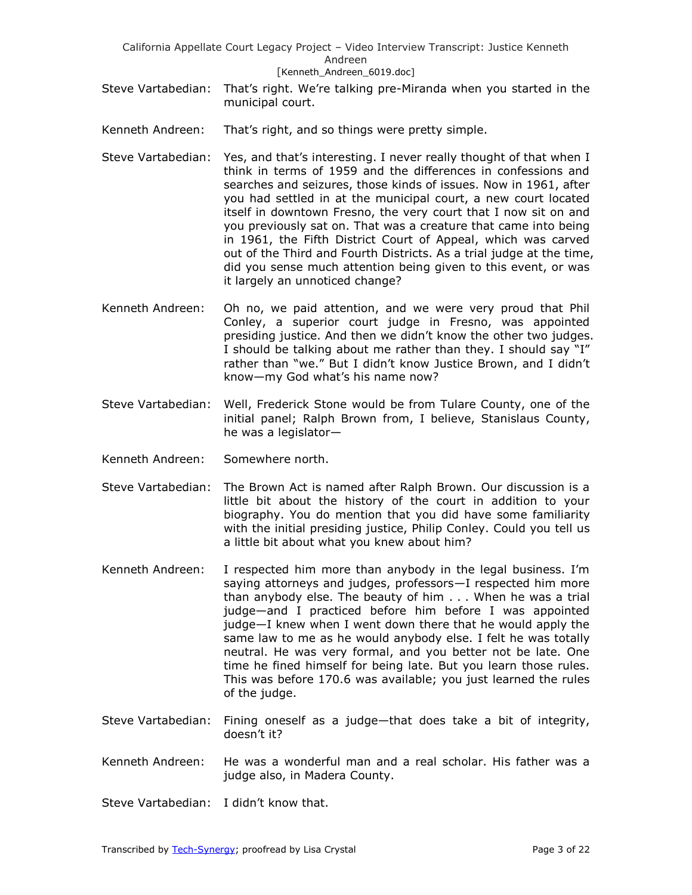- Steve Vartabedian: That's right. We're talking pre-Miranda when you started in the municipal court.
- Kenneth Andreen: That's right, and so things were pretty simple.
- Steve Vartabedian: Yes, and that's interesting. I never really thought of that when I think in terms of 1959 and the differences in confessions and searches and seizures, those kinds of issues. Now in 1961, after you had settled in at the municipal court, a new court located itself in downtown Fresno, the very court that I now sit on and you previously sat on. That was a creature that came into being in 1961, the Fifth District Court of Appeal, which was carved out of the Third and Fourth Districts. As a trial judge at the time, did you sense much attention being given to this event, or was it largely an unnoticed change?
- Kenneth Andreen: Oh no, we paid attention, and we were very proud that Phil Conley, a superior court judge in Fresno, was appointed presiding justice. And then we didn't know the other two judges. I should be talking about me rather than they. I should say "I" rather than "we." But I didn't know Justice Brown, and I didn't know—my God what's his name now?
- Steve Vartabedian: Well, Frederick Stone would be from Tulare County, one of the initial panel; Ralph Brown from, I believe, Stanislaus County, he was a legislator—
- Kenneth Andreen: Somewhere north.
- Steve Vartabedian: The Brown Act is named after Ralph Brown. Our discussion is a little bit about the history of the court in addition to your biography. You do mention that you did have some familiarity with the initial presiding justice, Philip Conley. Could you tell us a little bit about what you knew about him?
- Kenneth Andreen: I respected him more than anybody in the legal business. I'm saying attorneys and judges, professors—I respected him more than anybody else. The beauty of him . . . When he was a trial judge—and I practiced before him before I was appointed judge—I knew when I went down there that he would apply the same law to me as he would anybody else. I felt he was totally neutral. He was very formal, and you better not be late. One time he fined himself for being late. But you learn those rules. This was before 170.6 was available; you just learned the rules of the judge.
- Steve Vartabedian: Fining oneself as a judge—that does take a bit of integrity, doesn't it?
- Kenneth Andreen: He was a wonderful man and a real scholar. His father was a judge also, in Madera County.
- Steve Vartabedian: I didn't know that.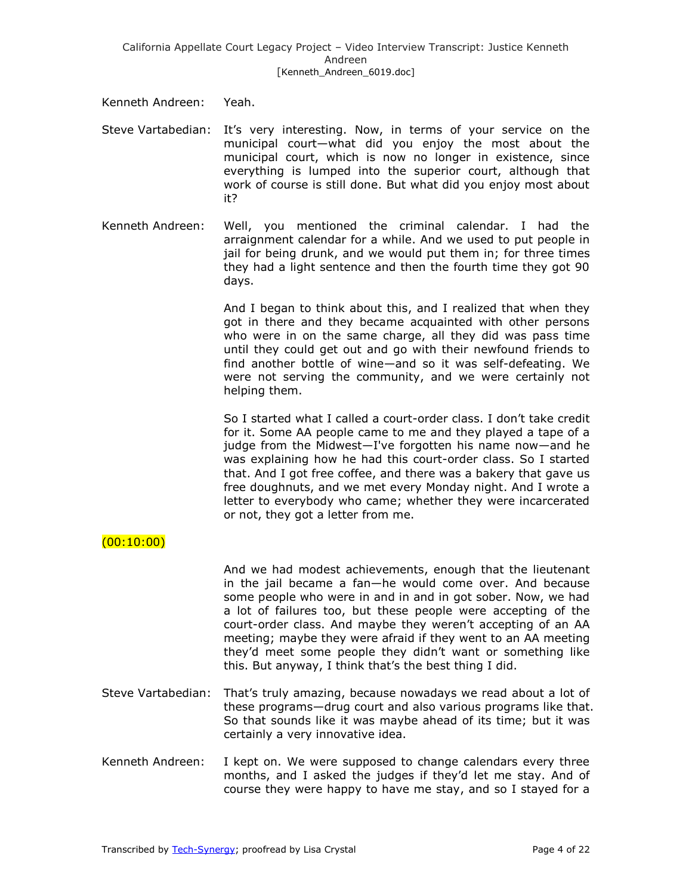Kenneth Andreen: Yeah.

- Steve Vartabedian: It's very interesting. Now, in terms of your service on the municipal court—what did you enjoy the most about the municipal court, which is now no longer in existence, since everything is lumped into the superior court, although that work of course is still done. But what did you enjoy most about it?
- Kenneth Andreen: Well, you mentioned the criminal calendar. I had the arraignment calendar for a while. And we used to put people in jail for being drunk, and we would put them in; for three times they had a light sentence and then the fourth time they got 90 days.

And I began to think about this, and I realized that when they got in there and they became acquainted with other persons who were in on the same charge, all they did was pass time until they could get out and go with their newfound friends to find another bottle of wine—and so it was self-defeating. We were not serving the community, and we were certainly not helping them.

So I started what I called a court-order class. I don't take credit for it. Some AA people came to me and they played a tape of a judge from the Midwest—I've forgotten his name now—and he was explaining how he had this court-order class. So I started that. And I got free coffee, and there was a bakery that gave us free doughnuts, and we met every Monday night. And I wrote a letter to everybody who came; whether they were incarcerated or not, they got a letter from me.

# $(00:10:00)$

And we had modest achievements, enough that the lieutenant in the jail became a fan—he would come over. And because some people who were in and in and in got sober. Now, we had a lot of failures too, but these people were accepting of the court-order class. And maybe they weren't accepting of an AA meeting; maybe they were afraid if they went to an AA meeting they'd meet some people they didn't want or something like this. But anyway, I think that's the best thing I did.

- Steve Vartabedian: That's truly amazing, because nowadays we read about a lot of these programs—drug court and also various programs like that. So that sounds like it was maybe ahead of its time; but it was certainly a very innovative idea.
- Kenneth Andreen: I kept on. We were supposed to change calendars every three months, and I asked the judges if they'd let me stay. And of course they were happy to have me stay, and so I stayed for a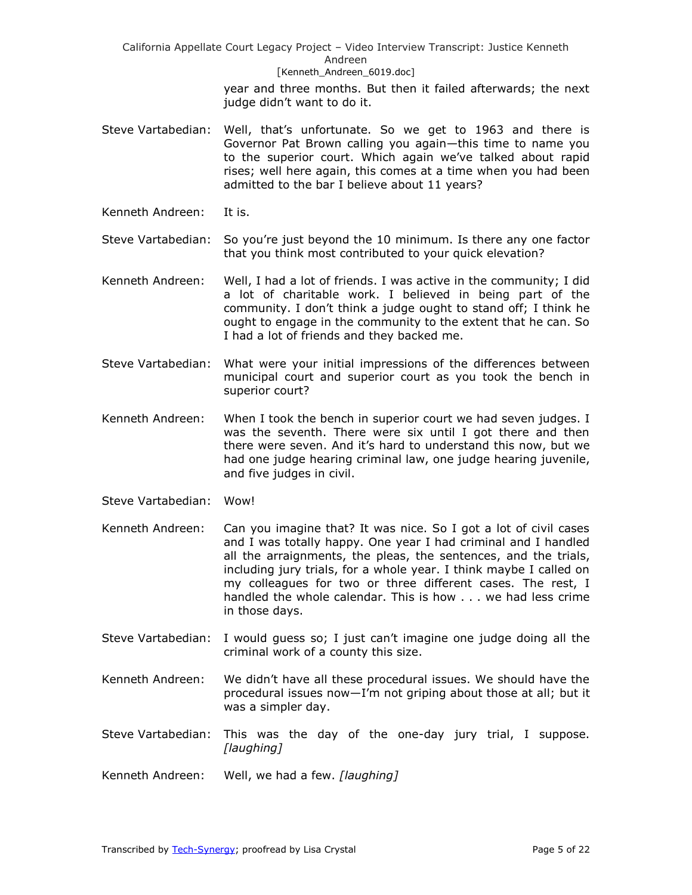> year and three months. But then it failed afterwards; the next judge didn't want to do it.

- Steve Vartabedian: Well, that's unfortunate. So we get to 1963 and there is Governor Pat Brown calling you again—this time to name you to the superior court. Which again we've talked about rapid rises; well here again, this comes at a time when you had been admitted to the bar I believe about 11 years?
- Kenneth Andreen: It is.
- Steve Vartabedian: So you're just beyond the 10 minimum. Is there any one factor that you think most contributed to your quick elevation?
- Kenneth Andreen: Well, I had a lot of friends. I was active in the community; I did a lot of charitable work. I believed in being part of the community. I don't think a judge ought to stand off; I think he ought to engage in the community to the extent that he can. So I had a lot of friends and they backed me.
- Steve Vartabedian: What were your initial impressions of the differences between municipal court and superior court as you took the bench in superior court?
- Kenneth Andreen: When I took the bench in superior court we had seven judges. I was the seventh. There were six until I got there and then there were seven. And it's hard to understand this now, but we had one judge hearing criminal law, one judge hearing juvenile, and five judges in civil.
- Steve Vartabedian: Wow!
- Kenneth Andreen: Can you imagine that? It was nice. So I got a lot of civil cases and I was totally happy. One year I had criminal and I handled all the arraignments, the pleas, the sentences, and the trials, including jury trials, for a whole year. I think maybe I called on my colleagues for two or three different cases. The rest, I handled the whole calendar. This is how . . . we had less crime in those days.
- Steve Vartabedian: I would guess so; I just can't imagine one judge doing all the criminal work of a county this size.
- Kenneth Andreen: We didn't have all these procedural issues. We should have the procedural issues now—I'm not griping about those at all; but it was a simpler day.
- Steve Vartabedian: This was the day of the one-day jury trial, I suppose. *[laughing]*
- Kenneth Andreen: Well, we had a few. *[laughing]*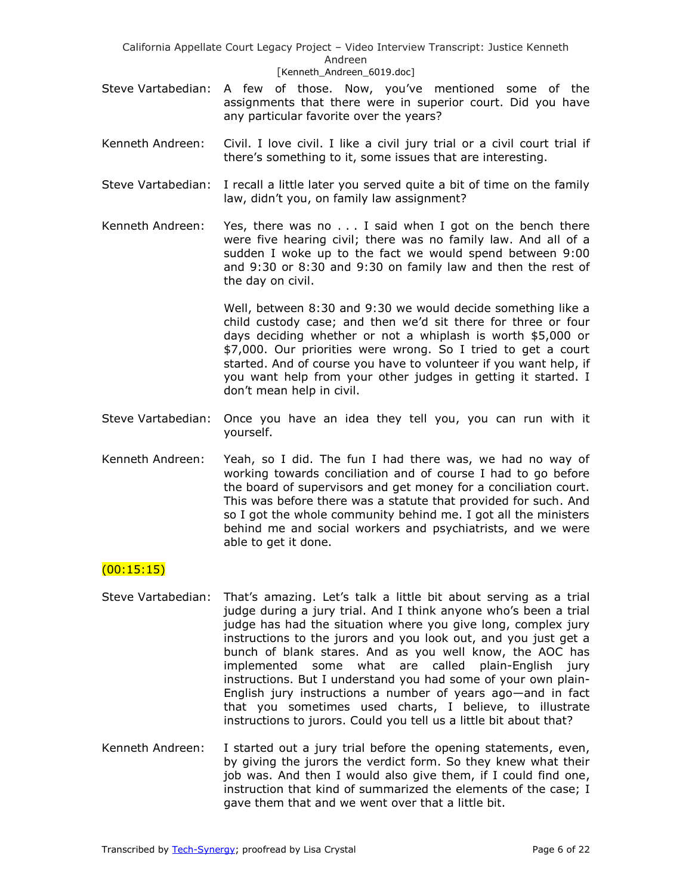- Steve Vartabedian: A few of those. Now, you've mentioned some of the assignments that there were in superior court. Did you have any particular favorite over the years?
- Kenneth Andreen: Civil. I love civil. I like a civil jury trial or a civil court trial if there's something to it, some issues that are interesting.
- Steve Vartabedian: I recall a little later you served quite a bit of time on the family law, didn't you, on family law assignment?
- Kenneth Andreen: Yes, there was no  $\dots$  I said when I got on the bench there were five hearing civil; there was no family law. And all of a sudden I woke up to the fact we would spend between 9:00 and 9:30 or 8:30 and 9:30 on family law and then the rest of the day on civil.

Well, between 8:30 and 9:30 we would decide something like a child custody case; and then we'd sit there for three or four days deciding whether or not a whiplash is worth \$5,000 or \$7,000. Our priorities were wrong. So I tried to get a court started. And of course you have to volunteer if you want help, if you want help from your other judges in getting it started. I don't mean help in civil.

- Steve Vartabedian: Once you have an idea they tell you, you can run with it yourself.
- Kenneth Andreen: Yeah, so I did. The fun I had there was, we had no way of working towards conciliation and of course I had to go before the board of supervisors and get money for a conciliation court. This was before there was a statute that provided for such. And so I got the whole community behind me. I got all the ministers behind me and social workers and psychiatrists, and we were able to get it done.

# $(00:15:15)$

- Steve Vartabedian: That's amazing. Let's talk a little bit about serving as a trial judge during a jury trial. And I think anyone who's been a trial judge has had the situation where you give long, complex jury instructions to the jurors and you look out, and you just get a bunch of blank stares. And as you well know, the AOC has implemented some what are called plain-English jury instructions. But I understand you had some of your own plain-English jury instructions a number of years ago—and in fact that you sometimes used charts, I believe, to illustrate instructions to jurors. Could you tell us a little bit about that?
- Kenneth Andreen: I started out a jury trial before the opening statements, even, by giving the jurors the verdict form. So they knew what their job was. And then I would also give them, if I could find one, instruction that kind of summarized the elements of the case; I gave them that and we went over that a little bit.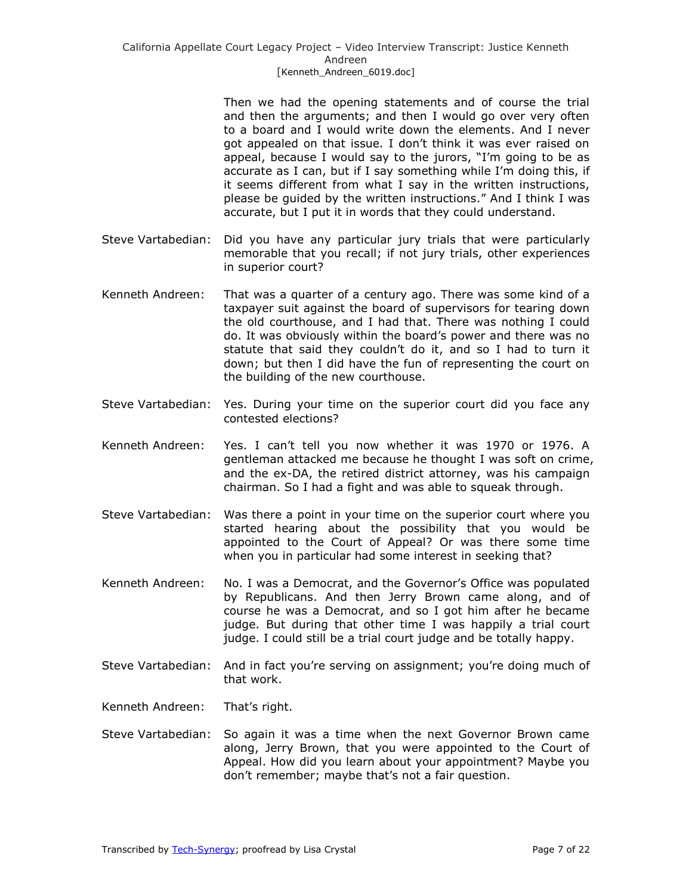Then we had the opening statements and of course the trial and then the arguments; and then I would go over very often to a board and I would write down the elements. And I never got appealed on that issue. I don't think it was ever raised on appeal, because I would say to the jurors, "I'm going to be as accurate as I can, but if I say something while I'm doing this, if it seems different from what I say in the written instructions, please be guided by the written instructions." And I think I was accurate, but I put it in words that they could understand.

- Steve Vartabedian: Did you have any particular jury trials that were particularly memorable that you recall; if not jury trials, other experiences in superior court?
- Kenneth Andreen: That was a quarter of a century ago. There was some kind of a taxpayer suit against the board of supervisors for tearing down the old courthouse, and I had that. There was nothing I could do. It was obviously within the board's power and there was no statute that said they couldn't do it, and so I had to turn it down; but then I did have the fun of representing the court on the building of the new courthouse.
- Steve Vartabedian: Yes. During your time on the superior court did you face any contested elections?
- Kenneth Andreen: Yes. I can't tell you now whether it was 1970 or 1976. A gentleman attacked me because he thought I was soft on crime, and the ex-DA, the retired district attorney, was his campaign chairman. So I had a fight and was able to squeak through.
- Steve Vartabedian: Was there a point in your time on the superior court where you started hearing about the possibility that you would be appointed to the Court of Appeal? Or was there some time when you in particular had some interest in seeking that?
- Kenneth Andreen: No. I was a Democrat, and the Governor's Office was populated by Republicans. And then Jerry Brown came along, and of course he was a Democrat, and so I got him after he became judge. But during that other time I was happily a trial court judge. I could still be a trial court judge and be totally happy.
- Steve Vartabedian: And in fact you're serving on assignment; you're doing much of that work.
- Kenneth Andreen: That's right.
- Steve Vartabedian: So again it was a time when the next Governor Brown came along, Jerry Brown, that you were appointed to the Court of Appeal. How did you learn about your appointment? Maybe you don't remember; maybe that's not a fair question.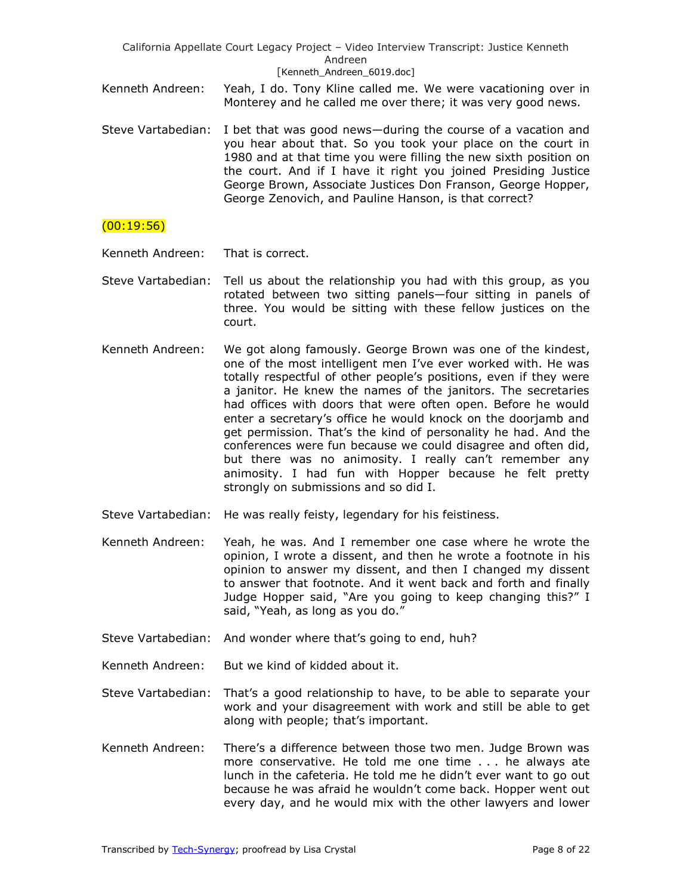- Kenneth Andreen: Yeah, I do. Tony Kline called me. We were vacationing over in Monterey and he called me over there; it was very good news.
- Steve Vartabedian: I bet that was good news—during the course of a vacation and you hear about that. So you took your place on the court in 1980 and at that time you were filling the new sixth position on the court. And if I have it right you joined Presiding Justice George Brown, Associate Justices Don Franson, George Hopper, George Zenovich, and Pauline Hanson, is that correct?

## $(00:19:56)$

Kenneth Andreen: That is correct.

- Steve Vartabedian: Tell us about the relationship you had with this group, as you rotated between two sitting panels—four sitting in panels of three. You would be sitting with these fellow justices on the court.
- Kenneth Andreen: We got along famously. George Brown was one of the kindest, one of the most intelligent men I've ever worked with. He was totally respectful of other people's positions, even if they were a janitor. He knew the names of the janitors. The secretaries had offices with doors that were often open. Before he would enter a secretary's office he would knock on the doorjamb and get permission. That's the kind of personality he had. And the conferences were fun because we could disagree and often did, but there was no animosity. I really can't remember any animosity. I had fun with Hopper because he felt pretty strongly on submissions and so did I.
- Steve Vartabedian: He was really feisty, legendary for his feistiness.
- Kenneth Andreen: Yeah, he was. And I remember one case where he wrote the opinion, I wrote a dissent, and then he wrote a footnote in his opinion to answer my dissent, and then I changed my dissent to answer that footnote. And it went back and forth and finally Judge Hopper said, "Are you going to keep changing this?"  $I$ said, "Yeah, as long as you do."
- Steve Vartabedian: And wonder where that's going to end, huh?
- Kenneth Andreen: But we kind of kidded about it.
- Steve Vartabedian: That's a good relationship to have, to be able to separate your work and your disagreement with work and still be able to get along with people; that's important.
- Kenneth Andreen: There's a difference between those two men. Judge Brown was more conservative. He told me one time . . . he always ate lunch in the cafeteria. He told me he didn't ever want to go out because he was afraid he wouldn't come back. Hopper went out every day, and he would mix with the other lawyers and lower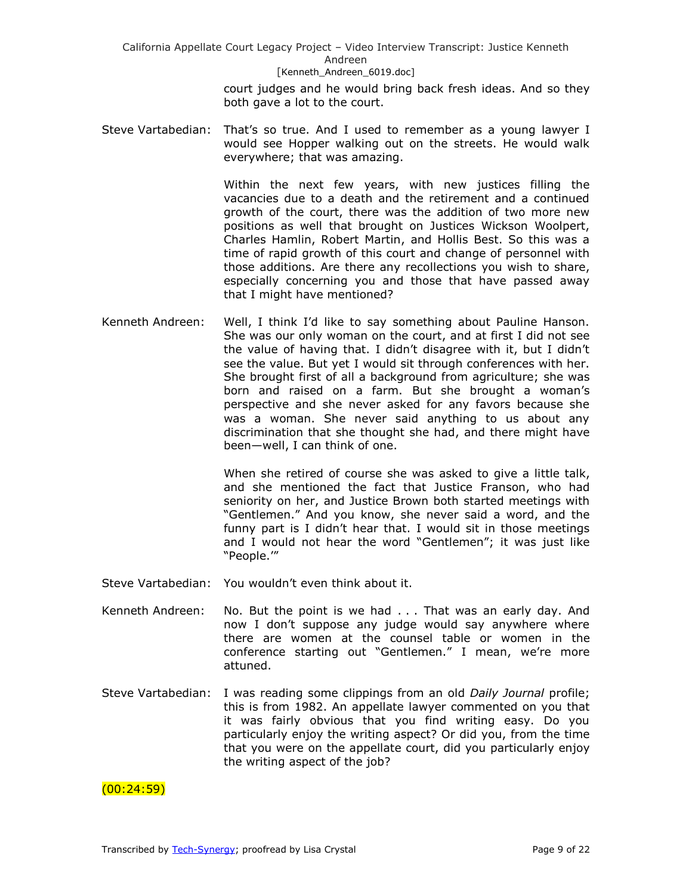> court judges and he would bring back fresh ideas. And so they both gave a lot to the court.

Steve Vartabedian: That's so true. And I used to remember as a young lawyer I would see Hopper walking out on the streets. He would walk everywhere; that was amazing.

> Within the next few years, with new justices filling the vacancies due to a death and the retirement and a continued growth of the court, there was the addition of two more new positions as well that brought on Justices Wickson Woolpert, Charles Hamlin, Robert Martin, and Hollis Best. So this was a time of rapid growth of this court and change of personnel with those additions. Are there any recollections you wish to share, especially concerning you and those that have passed away that I might have mentioned?

Kenneth Andreen: Well, I think I'd like to say something about Pauline Hanson. She was our only woman on the court, and at first I did not see the value of having that. I didn't disagree with it, but I didn't see the value. But yet I would sit through conferences with her. She brought first of all a background from agriculture; she was born and raised on a farm. But she brought a woman's perspective and she never asked for any favors because she was a woman. She never said anything to us about any discrimination that she thought she had, and there might have been—well, I can think of one.

> When she retired of course she was asked to give a little talk, and she mentioned the fact that Justice Franson, who had seniority on her, and Justice Brown both started meetings with "Gentlemen." And you know, she never said a word, and the funny part is I didn't hear that. I would sit in those meetings and I would not hear the word "Gentlemen"; it was just like ―People.'‖

Steve Vartabedian: You wouldn't even think about it.

- Kenneth Andreen: No. But the point is we had . . . That was an early day. And now I don't suppose any judge would say anywhere where there are women at the counsel table or women in the conference starting out "Gentlemen." I mean, we're more attuned.
- Steve Vartabedian: I was reading some clippings from an old *Daily Journal* profile; this is from 1982. An appellate lawyer commented on you that it was fairly obvious that you find writing easy. Do you particularly enjoy the writing aspect? Or did you, from the time that you were on the appellate court, did you particularly enjoy the writing aspect of the job?

 $(00:24:59)$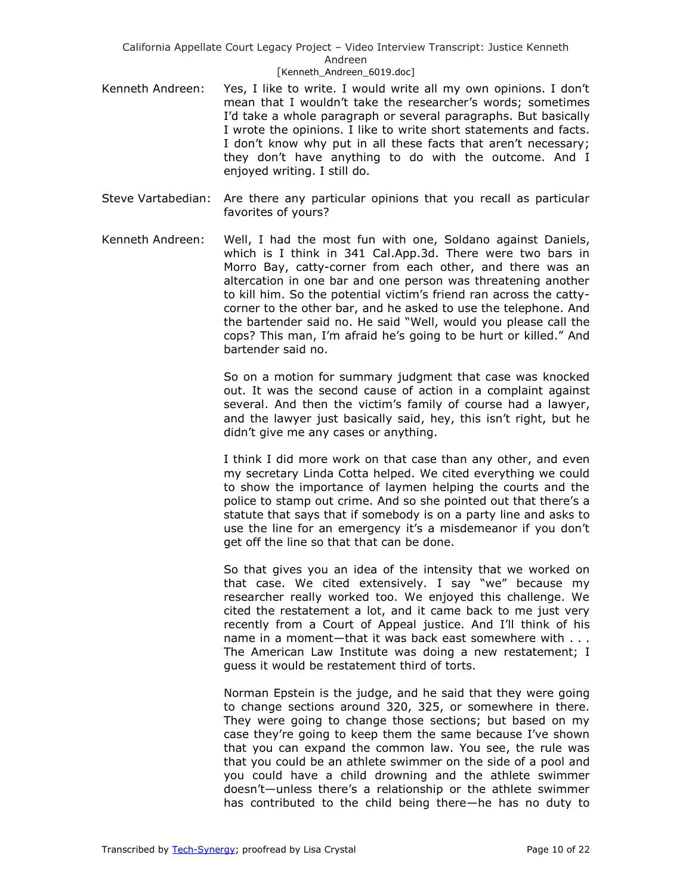- Kenneth Andreen: Yes, I like to write. I would write all my own opinions. I don't mean that I wouldn't take the researcher's words; sometimes I'd take a whole paragraph or several paragraphs. But basically I wrote the opinions. I like to write short statements and facts. I don't know why put in all these facts that aren't necessary; they don't have anything to do with the outcome. And I enjoyed writing. I still do.
- Steve Vartabedian: Are there any particular opinions that you recall as particular favorites of yours?
	- Kenneth Andreen: Well, I had the most fun with one, Soldano against Daniels, which is I think in 341 Cal.App.3d. There were two bars in Morro Bay, catty-corner from each other, and there was an altercation in one bar and one person was threatening another to kill him. So the potential victim's friend ran across the cattycorner to the other bar, and he asked to use the telephone. And the bartender said no. He said "Well, would you please call the cops? This man, I'm afraid he's going to be hurt or killed." And bartender said no.

So on a motion for summary judgment that case was knocked out. It was the second cause of action in a complaint against several. And then the victim's family of course had a lawyer, and the lawyer just basically said, hey, this isn't right, but he didn't give me any cases or anything.

I think I did more work on that case than any other, and even my secretary Linda Cotta helped. We cited everything we could to show the importance of laymen helping the courts and the police to stamp out crime. And so she pointed out that there's a statute that says that if somebody is on a party line and asks to use the line for an emergency it's a misdemeanor if you don't get off the line so that that can be done.

So that gives you an idea of the intensity that we worked on that case. We cited extensively. I say "we" because my researcher really worked too. We enjoyed this challenge. We cited the restatement a lot, and it came back to me just very recently from a Court of Appeal justice. And I'll think of his name in a moment—that it was back east somewhere with . . . The American Law Institute was doing a new restatement; I guess it would be restatement third of torts.

Norman Epstein is the judge, and he said that they were going to change sections around 320, 325, or somewhere in there. They were going to change those sections; but based on my case they're going to keep them the same because I've shown that you can expand the common law. You see, the rule was that you could be an athlete swimmer on the side of a pool and you could have a child drowning and the athlete swimmer doesn't—unless there's a relationship or the athlete swimmer has contributed to the child being there—he has no duty to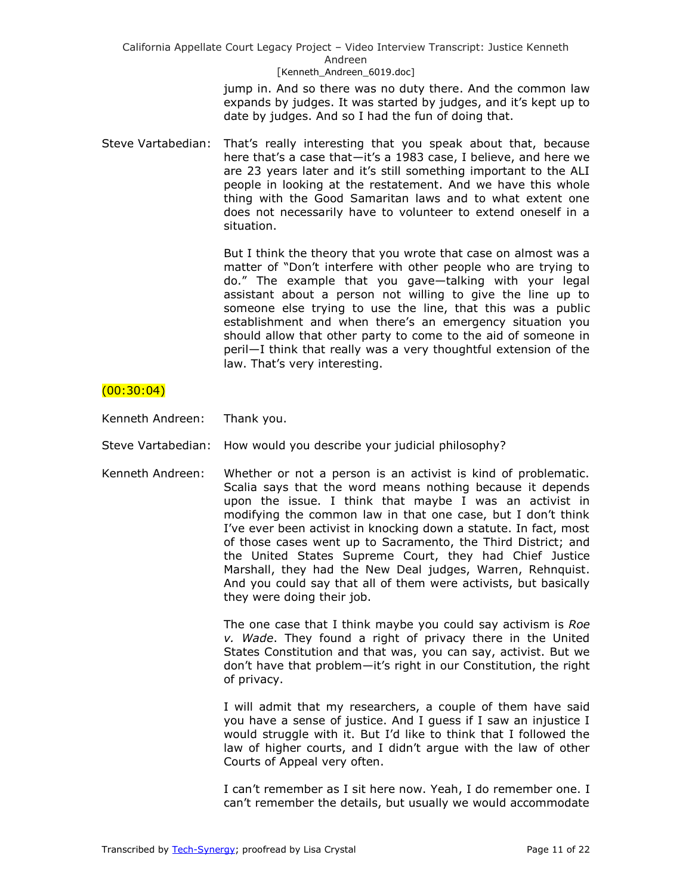> jump in. And so there was no duty there. And the common law expands by judges. It was started by judges, and it's kept up to date by judges. And so I had the fun of doing that.

Steve Vartabedian: That's really interesting that you speak about that, because here that's a case that—it's a 1983 case, I believe, and here we are 23 years later and it's still something important to the ALI people in looking at the restatement. And we have this whole thing with the Good Samaritan laws and to what extent one does not necessarily have to volunteer to extend oneself in a situation.

> But I think the theory that you wrote that case on almost was a matter of "Don't interfere with other people who are trying to do.‖ The example that you gave—talking with your legal assistant about a person not willing to give the line up to someone else trying to use the line, that this was a public establishment and when there's an emergency situation you should allow that other party to come to the aid of someone in peril—I think that really was a very thoughtful extension of the law. That's very interesting.

## $(00:30:04)$

Kenneth Andreen: Thank you.

Steve Vartabedian: How would you describe your judicial philosophy?

Kenneth Andreen: Whether or not a person is an activist is kind of problematic. Scalia says that the word means nothing because it depends upon the issue. I think that maybe I was an activist in modifying the common law in that one case, but I don't think I've ever been activist in knocking down a statute. In fact, most of those cases went up to Sacramento, the Third District; and the United States Supreme Court, they had Chief Justice Marshall, they had the New Deal judges, Warren, Rehnquist. And you could say that all of them were activists, but basically they were doing their job.

> The one case that I think maybe you could say activism is *Roe v. Wade*. They found a right of privacy there in the United States Constitution and that was, you can say, activist. But we don't have that problem—it's right in our Constitution, the right of privacy.

> I will admit that my researchers, a couple of them have said you have a sense of justice. And I guess if I saw an injustice I would struggle with it. But I'd like to think that I followed the law of higher courts, and I didn't argue with the law of other Courts of Appeal very often.

> I can't remember as I sit here now. Yeah, I do remember one. I can't remember the details, but usually we would accommodate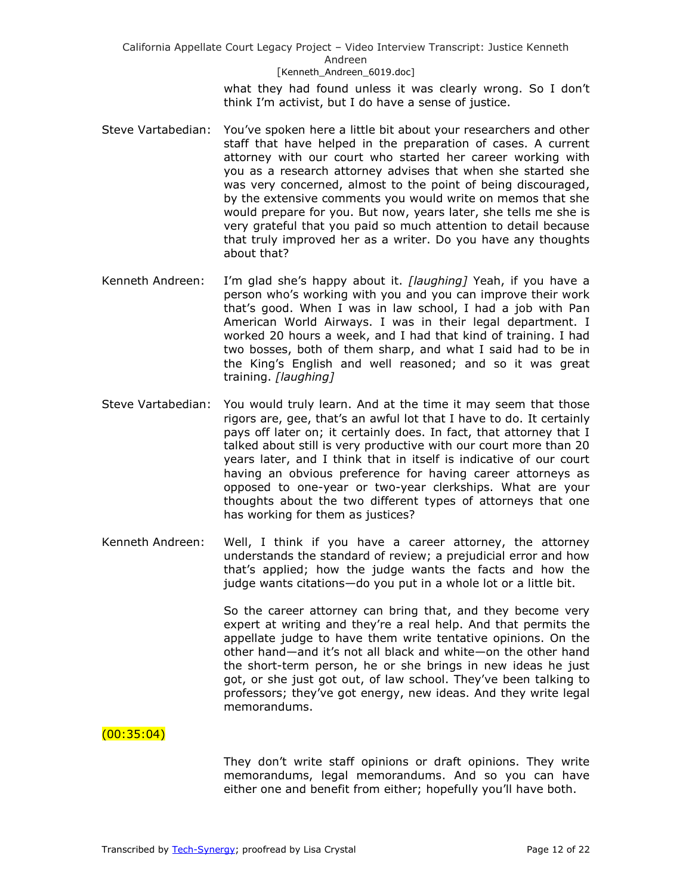> what they had found unless it was clearly wrong. So I don't think I'm activist, but I do have a sense of justice.

- Steve Vartabedian: You've spoken here a little bit about your researchers and other staff that have helped in the preparation of cases. A current attorney with our court who started her career working with you as a research attorney advises that when she started she was very concerned, almost to the point of being discouraged, by the extensive comments you would write on memos that she would prepare for you. But now, years later, she tells me she is very grateful that you paid so much attention to detail because that truly improved her as a writer. Do you have any thoughts about that?
- Kenneth Andreen: I'm glad she's happy about it. *[laughing]* Yeah, if you have a person who's working with you and you can improve their work that's good. When I was in law school, I had a job with Pan American World Airways. I was in their legal department. I worked 20 hours a week, and I had that kind of training. I had two bosses, both of them sharp, and what I said had to be in the King's English and well reasoned; and so it was great training. *[laughing]*
- Steve Vartabedian: You would truly learn. And at the time it may seem that those rigors are, gee, that's an awful lot that I have to do. It certainly pays off later on; it certainly does. In fact, that attorney that I talked about still is very productive with our court more than 20 years later, and I think that in itself is indicative of our court having an obvious preference for having career attorneys as opposed to one-year or two-year clerkships. What are your thoughts about the two different types of attorneys that one has working for them as justices?
- Kenneth Andreen: Well, I think if you have a career attorney, the attorney understands the standard of review; a prejudicial error and how that's applied; how the judge wants the facts and how the judge wants citations—do you put in a whole lot or a little bit.

So the career attorney can bring that, and they become very expert at writing and they're a real help. And that permits the appellate judge to have them write tentative opinions. On the other hand—and it's not all black and white—on the other hand the short-term person, he or she brings in new ideas he just got, or she just got out, of law school. They've been talking to professors; they've got energy, new ideas. And they write legal memorandums.

## $(00:35:04)$

They don't write staff opinions or draft opinions. They write memorandums, legal memorandums. And so you can have either one and benefit from either; hopefully you'll have both.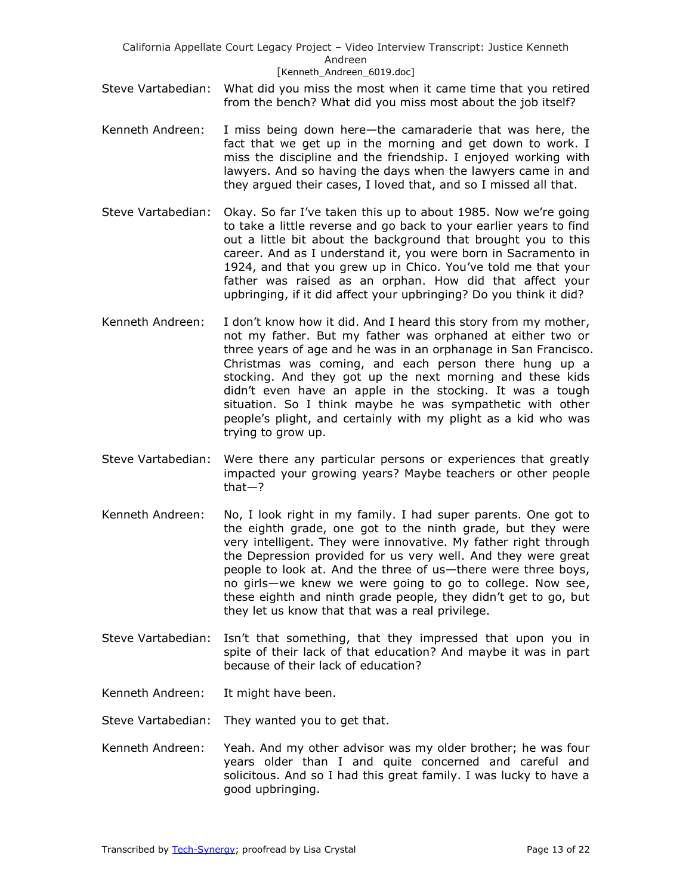- Steve Vartabedian: What did you miss the most when it came time that you retired from the bench? What did you miss most about the job itself?
- Kenneth Andreen: I miss being down here—the camaraderie that was here, the fact that we get up in the morning and get down to work. I miss the discipline and the friendship. I enjoyed working with lawyers. And so having the days when the lawyers came in and they argued their cases, I loved that, and so I missed all that.
- Steve Vartabedian: Okay. So far I've taken this up to about 1985. Now we're going to take a little reverse and go back to your earlier years to find out a little bit about the background that brought you to this career. And as I understand it, you were born in Sacramento in 1924, and that you grew up in Chico. You've told me that your father was raised as an orphan. How did that affect your upbringing, if it did affect your upbringing? Do you think it did?
- Kenneth Andreen: I don't know how it did. And I heard this story from my mother, not my father. But my father was orphaned at either two or three years of age and he was in an orphanage in San Francisco. Christmas was coming, and each person there hung up a stocking. And they got up the next morning and these kids didn't even have an apple in the stocking. It was a tough situation. So I think maybe he was sympathetic with other people's plight, and certainly with my plight as a kid who was trying to grow up.
- Steve Vartabedian: Were there any particular persons or experiences that greatly impacted your growing years? Maybe teachers or other people that—?
- Kenneth Andreen: No, I look right in my family. I had super parents. One got to the eighth grade, one got to the ninth grade, but they were very intelligent. They were innovative. My father right through the Depression provided for us very well. And they were great people to look at. And the three of us—there were three boys, no girls—we knew we were going to go to college. Now see, these eighth and ninth grade people, they didn't get to go, but they let us know that that was a real privilege.
- Steve Vartabedian: Isn't that something, that they impressed that upon you in spite of their lack of that education? And maybe it was in part because of their lack of education?
- Kenneth Andreen: It might have been.
- Steve Vartabedian: They wanted you to get that.
- Kenneth Andreen: Yeah. And my other advisor was my older brother; he was four years older than I and quite concerned and careful and solicitous. And so I had this great family. I was lucky to have a good upbringing.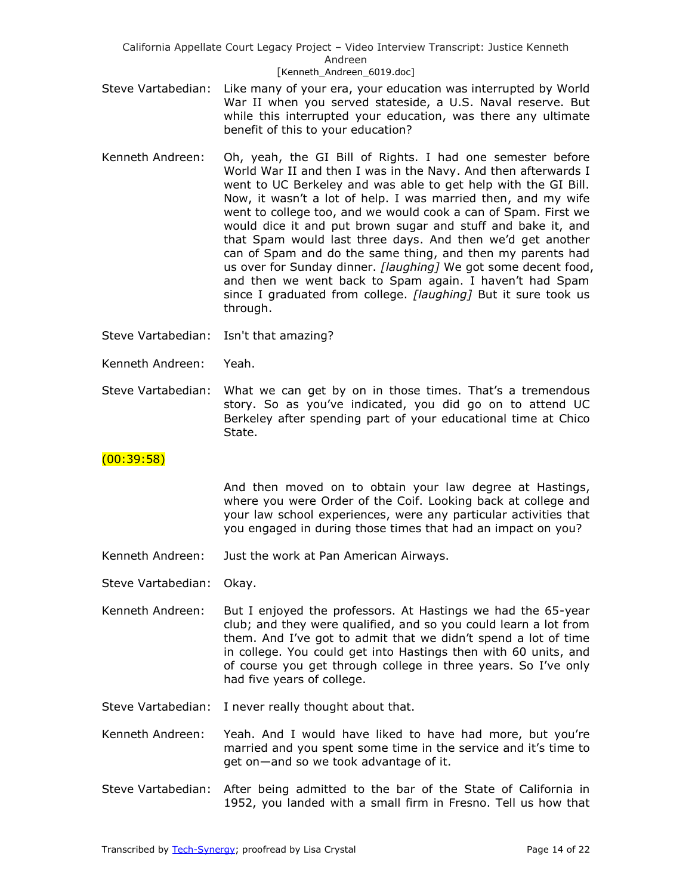- Steve Vartabedian: Like many of your era, your education was interrupted by World War II when you served stateside, a U.S. Naval reserve. But while this interrupted your education, was there any ultimate benefit of this to your education?
- Kenneth Andreen: Oh, yeah, the GI Bill of Rights. I had one semester before World War II and then I was in the Navy. And then afterwards I went to UC Berkeley and was able to get help with the GI Bill. Now, it wasn't a lot of help. I was married then, and my wife went to college too, and we would cook a can of Spam. First we would dice it and put brown sugar and stuff and bake it, and that Spam would last three days. And then we'd get another can of Spam and do the same thing, and then my parents had us over for Sunday dinner. *[laughing]* We got some decent food, and then we went back to Spam again. I haven't had Spam since I graduated from college. *[laughing]* But it sure took us through.
- Steve Vartabedian: Isn't that amazing?
- Kenneth Andreen: Yeah.
- Steve Vartabedian: What we can get by on in those times. That's a tremendous story. So as you've indicated, you did go on to attend UC Berkeley after spending part of your educational time at Chico State.

## (00:39:58)

And then moved on to obtain your law degree at Hastings, where you were Order of the Coif. Looking back at college and your law school experiences, were any particular activities that you engaged in during those times that had an impact on you?

- Kenneth Andreen: Just the work at Pan American Airways.
- Steve Vartabedian: Okay.
- Kenneth Andreen: But I enjoyed the professors. At Hastings we had the 65-year club; and they were qualified, and so you could learn a lot from them. And I've got to admit that we didn't spend a lot of time in college. You could get into Hastings then with 60 units, and of course you get through college in three years. So I've only had five years of college.
- Steve Vartabedian: I never really thought about that.
- Kenneth Andreen: Yeah. And I would have liked to have had more, but you're married and you spent some time in the service and it's time to get on—and so we took advantage of it.
- Steve Vartabedian: After being admitted to the bar of the State of California in 1952, you landed with a small firm in Fresno. Tell us how that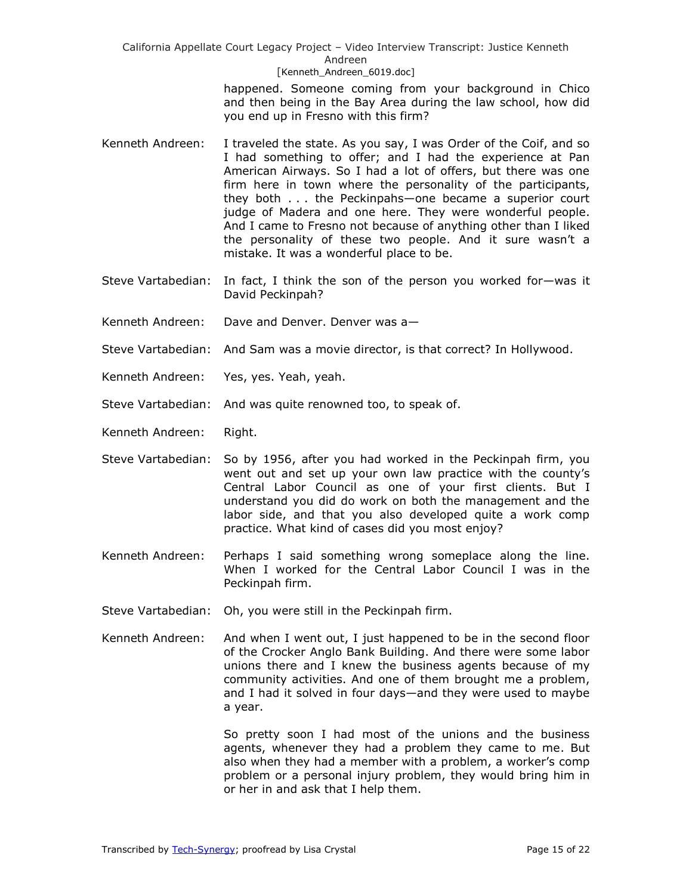> happened. Someone coming from your background in Chico and then being in the Bay Area during the law school, how did you end up in Fresno with this firm?

- Kenneth Andreen: I traveled the state. As you say, I was Order of the Coif, and so I had something to offer; and I had the experience at Pan American Airways. So I had a lot of offers, but there was one firm here in town where the personality of the participants, they both . . . the Peckinpahs—one became a superior court judge of Madera and one here. They were wonderful people. And I came to Fresno not because of anything other than I liked the personality of these two people. And it sure wasn't a mistake. It was a wonderful place to be.
- Steve Vartabedian: In fact, I think the son of the person you worked for—was it David Peckinpah?
- Kenneth Andreen: Dave and Denver. Denver was a—
- Steve Vartabedian: And Sam was a movie director, is that correct? In Hollywood.
- Kenneth Andreen: Yes, yes. Yeah, yeah.
- Steve Vartabedian: And was quite renowned too, to speak of.
- Kenneth Andreen: Right.
- Steve Vartabedian: So by 1956, after you had worked in the Peckinpah firm, you went out and set up your own law practice with the county's Central Labor Council as one of your first clients. But I understand you did do work on both the management and the labor side, and that you also developed quite a work comp practice. What kind of cases did you most enjoy?
- Kenneth Andreen: Perhaps I said something wrong someplace along the line. When I worked for the Central Labor Council I was in the Peckinpah firm.
- Steve Vartabedian: Oh, you were still in the Peckinpah firm.
- Kenneth Andreen: And when I went out, I just happened to be in the second floor of the Crocker Anglo Bank Building. And there were some labor unions there and I knew the business agents because of my community activities. And one of them brought me a problem, and I had it solved in four days—and they were used to maybe a year.

So pretty soon I had most of the unions and the business agents, whenever they had a problem they came to me. But also when they had a member with a problem, a worker's comp problem or a personal injury problem, they would bring him in or her in and ask that I help them.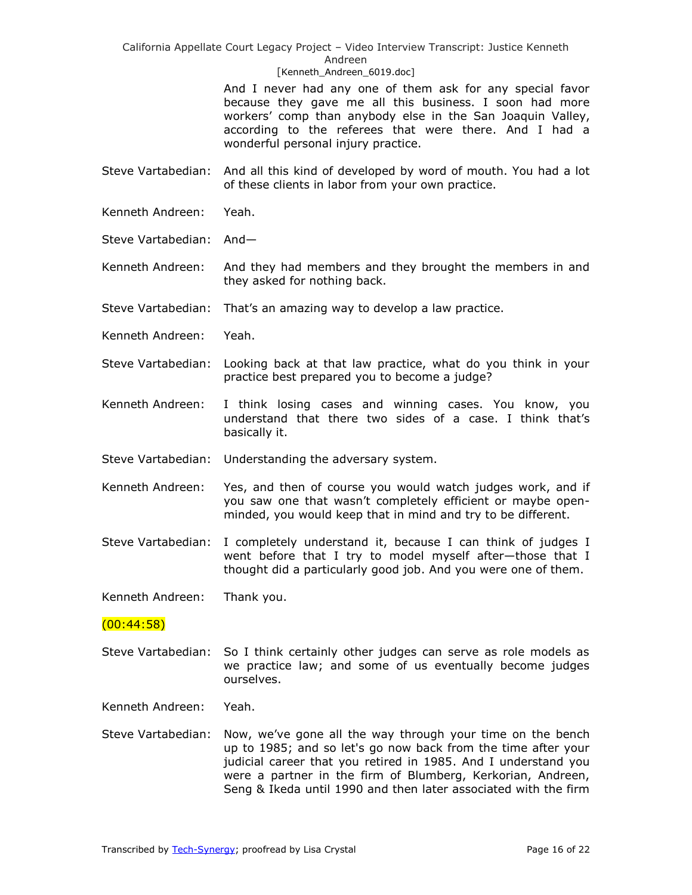California Appellate Court Legacy Project – Video Interview Transcript: Justice Kenneth Andreen

#### [Kenneth Andreen 6019.doc]

And I never had any one of them ask for any special favor because they gave me all this business. I soon had more workers' comp than anybody else in the San Joaquin Valley, according to the referees that were there. And I had a wonderful personal injury practice.

Steve Vartabedian: And all this kind of developed by word of mouth. You had a lot of these clients in labor from your own practice.

- Kenneth Andreen: Yeah.
- Steve Vartabedian: And—

Kenneth Andreen: And they had members and they brought the members in and they asked for nothing back.

Steve Vartabedian: That's an amazing way to develop a law practice.

Kenneth Andreen: Yeah.

- Steve Vartabedian: Looking back at that law practice, what do you think in your practice best prepared you to become a judge?
- Kenneth Andreen: I think losing cases and winning cases. You know, you understand that there two sides of a case. I think that's basically it.

Steve Vartabedian: Understanding the adversary system.

- Kenneth Andreen: Yes, and then of course you would watch judges work, and if you saw one that wasn't completely efficient or maybe openminded, you would keep that in mind and try to be different.
- Steve Vartabedian: I completely understand it, because I can think of judges I went before that I try to model myself after—those that I thought did a particularly good job. And you were one of them.

Kenneth Andreen: Thank you.

### (00:44:58)

Steve Vartabedian: So I think certainly other judges can serve as role models as we practice law; and some of us eventually become judges ourselves.

Kenneth Andreen: Yeah.

Steve Vartabedian: Now, we've gone all the way through your time on the bench up to 1985; and so let's go now back from the time after your judicial career that you retired in 1985. And I understand you were a partner in the firm of Blumberg, Kerkorian, Andreen, Seng & Ikeda until 1990 and then later associated with the firm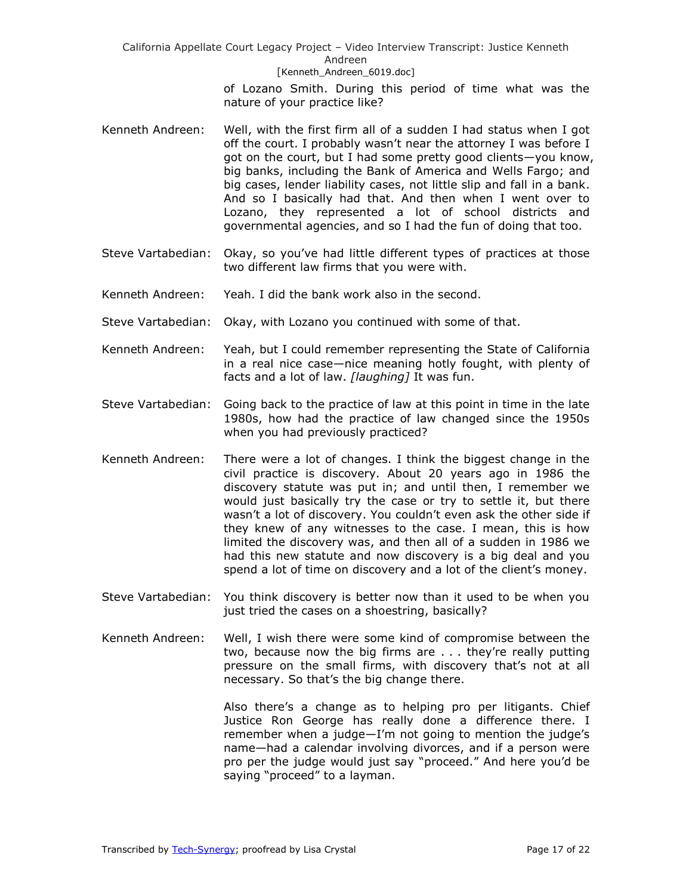> of Lozano Smith. During this period of time what was the nature of your practice like?

- Kenneth Andreen: Well, with the first firm all of a sudden I had status when I got off the court. I probably wasn't near the attorney I was before I got on the court, but I had some pretty good clients—you know, big banks, including the Bank of America and Wells Fargo; and big cases, lender liability cases, not little slip and fall in a bank. And so I basically had that. And then when I went over to Lozano, they represented a lot of school districts and governmental agencies, and so I had the fun of doing that too.
- Steve Vartabedian: Okay, so you've had little different types of practices at those two different law firms that you were with.
- Kenneth Andreen: Yeah. I did the bank work also in the second.
- Steve Vartabedian: Okay, with Lozano you continued with some of that.
- Kenneth Andreen: Yeah, but I could remember representing the State of California in a real nice case—nice meaning hotly fought, with plenty of facts and a lot of law. *[laughing]* It was fun.
- Steve Vartabedian: Going back to the practice of law at this point in time in the late 1980s, how had the practice of law changed since the 1950s when you had previously practiced?
- Kenneth Andreen: There were a lot of changes. I think the biggest change in the civil practice is discovery. About 20 years ago in 1986 the discovery statute was put in; and until then, I remember we would just basically try the case or try to settle it, but there wasn't a lot of discovery. You couldn't even ask the other side if they knew of any witnesses to the case. I mean, this is how limited the discovery was, and then all of a sudden in 1986 we had this new statute and now discovery is a big deal and you spend a lot of time on discovery and a lot of the client's money.
- Steve Vartabedian: You think discovery is better now than it used to be when you just tried the cases on a shoestring, basically?
- Kenneth Andreen: Well, I wish there were some kind of compromise between the two, because now the big firms are . . . they're really putting pressure on the small firms, with discovery that's not at all necessary. So that's the big change there.

Also there's a change as to helping pro per litigants. Chief Justice Ron George has really done a difference there. I remember when a judge—I'm not going to mention the judge's name—had a calendar involving divorces, and if a person were pro per the judge would just say "proceed." And here you'd be saying "proceed" to a layman.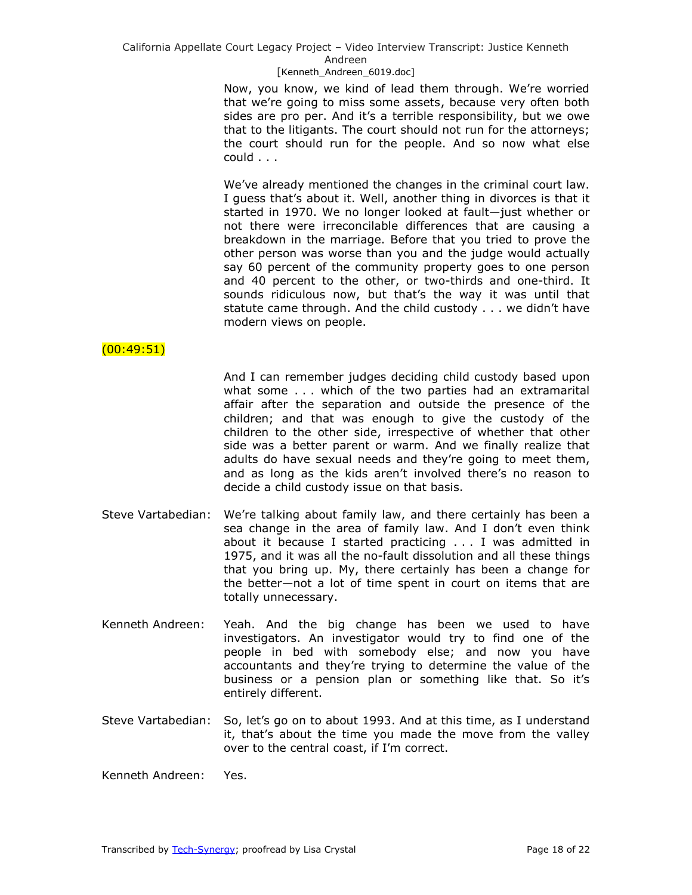California Appellate Court Legacy Project – Video Interview Transcript: Justice Kenneth Andreen

#### [Kenneth Andreen 6019.doc]

Now, you know, we kind of lead them through. We're worried that we're going to miss some assets, because very often both sides are pro per. And it's a terrible responsibility, but we owe that to the litigants. The court should not run for the attorneys; the court should run for the people. And so now what else could . . .

We've already mentioned the changes in the criminal court law. I guess that's about it. Well, another thing in divorces is that it started in 1970. We no longer looked at fault—just whether or not there were irreconcilable differences that are causing a breakdown in the marriage. Before that you tried to prove the other person was worse than you and the judge would actually say 60 percent of the community property goes to one person and 40 percent to the other, or two-thirds and one-third. It sounds ridiculous now, but that's the way it was until that statute came through. And the child custody . . . we didn't have modern views on people.

### (00:49:51)

And I can remember judges deciding child custody based upon what some . . . which of the two parties had an extramarital affair after the separation and outside the presence of the children; and that was enough to give the custody of the children to the other side, irrespective of whether that other side was a better parent or warm. And we finally realize that adults do have sexual needs and they're going to meet them, and as long as the kids aren't involved there's no reason to decide a child custody issue on that basis.

- Steve Vartabedian: We're talking about family law, and there certainly has been a sea change in the area of family law. And I don't even think about it because I started practicing . . . I was admitted in 1975, and it was all the no-fault dissolution and all these things that you bring up. My, there certainly has been a change for the better—not a lot of time spent in court on items that are totally unnecessary.
- Kenneth Andreen: Yeah. And the big change has been we used to have investigators. An investigator would try to find one of the people in bed with somebody else; and now you have accountants and they're trying to determine the value of the business or a pension plan or something like that. So it's entirely different.
- Steve Vartabedian: So, let's go on to about 1993. And at this time, as I understand it, that's about the time you made the move from the valley over to the central coast, if I'm correct.

Kenneth Andreen: Yes.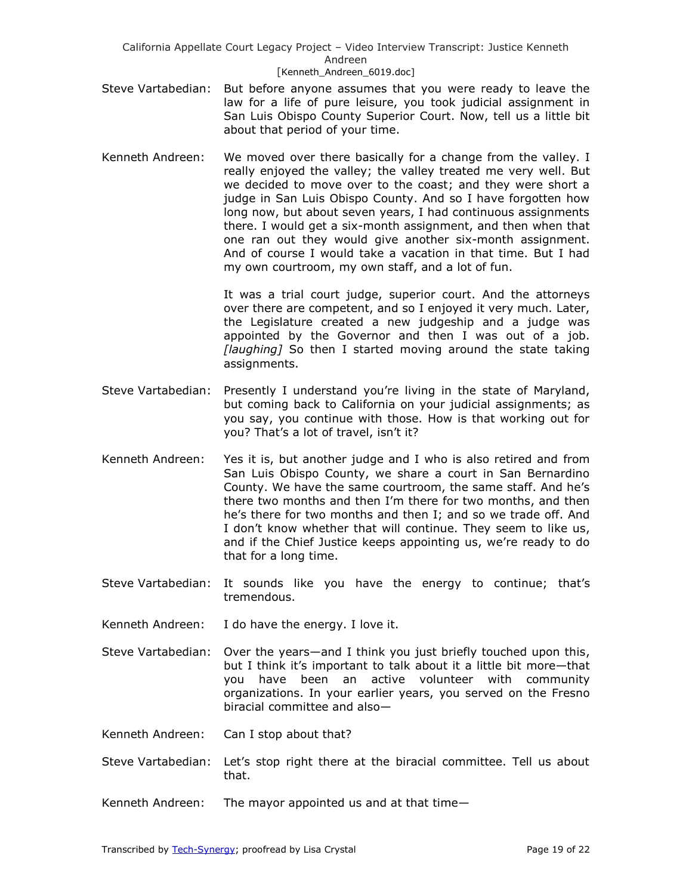- Steve Vartabedian: But before anyone assumes that you were ready to leave the law for a life of pure leisure, you took judicial assignment in San Luis Obispo County Superior Court. Now, tell us a little bit about that period of your time.
- Kenneth Andreen: We moved over there basically for a change from the valley. I really enjoyed the valley; the valley treated me very well. But we decided to move over to the coast; and they were short a judge in San Luis Obispo County. And so I have forgotten how long now, but about seven years, I had continuous assignments there. I would get a six-month assignment, and then when that one ran out they would give another six-month assignment. And of course I would take a vacation in that time. But I had my own courtroom, my own staff, and a lot of fun.

It was a trial court judge, superior court. And the attorneys over there are competent, and so I enjoyed it very much. Later, the Legislature created a new judgeship and a judge was appointed by the Governor and then I was out of a job. *[laughing]* So then I started moving around the state taking assignments.

- Steve Vartabedian: Presently I understand you're living in the state of Maryland, but coming back to California on your judicial assignments; as you say, you continue with those. How is that working out for you? That's a lot of travel, isn't it?
- Kenneth Andreen: Yes it is, but another judge and I who is also retired and from San Luis Obispo County, we share a court in San Bernardino County. We have the same courtroom, the same staff. And he's there two months and then I'm there for two months, and then he's there for two months and then I; and so we trade off. And I don't know whether that will continue. They seem to like us, and if the Chief Justice keeps appointing us, we're ready to do that for a long time.
- Steve Vartabedian: It sounds like you have the energy to continue; that's tremendous.
- Kenneth Andreen: I do have the energy. I love it.
- Steve Vartabedian: Over the years—and I think you just briefly touched upon this, but I think it's important to talk about it a little bit more—that you have been an active volunteer with community organizations. In your earlier years, you served on the Fresno biracial committee and also—
- Kenneth Andreen: Can I stop about that?
- Steve Vartabedian: Let's stop right there at the biracial committee. Tell us about that.
- Kenneth Andreen: The mayor appointed us and at that time—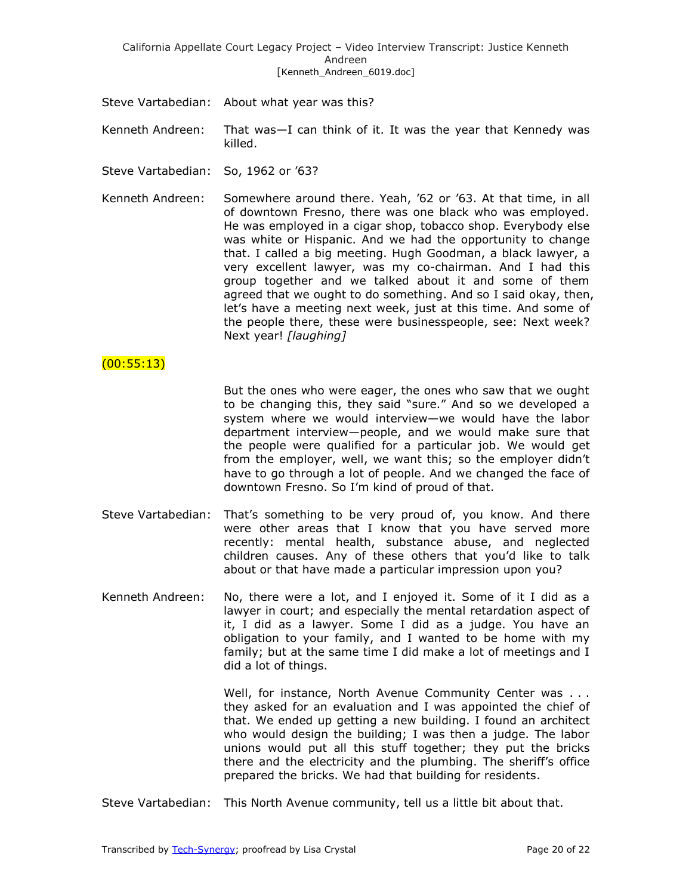- Steve Vartabedian: About what year was this?
- Kenneth Andreen: That was—I can think of it. It was the year that Kennedy was killed.
- Steve Vartabedian: So, 1962 or '63?
- Kenneth Andreen: Somewhere around there. Yeah, '62 or '63. At that time, in all of downtown Fresno, there was one black who was employed. He was employed in a cigar shop, tobacco shop. Everybody else was white or Hispanic. And we had the opportunity to change that. I called a big meeting. Hugh Goodman, a black lawyer, a very excellent lawyer, was my co-chairman. And I had this group together and we talked about it and some of them agreed that we ought to do something. And so I said okay, then, let's have a meeting next week, just at this time. And some of the people there, these were businesspeople, see: Next week? Next year! *[laughing]*

## $(00:55:13)$

But the ones who were eager, the ones who saw that we ought to be changing this, they said "sure." And so we developed a system where we would interview—we would have the labor department interview—people, and we would make sure that the people were qualified for a particular job. We would get from the employer, well, we want this; so the employer didn't have to go through a lot of people. And we changed the face of downtown Fresno. So I'm kind of proud of that.

- Steve Vartabedian: That's something to be very proud of, you know. And there were other areas that I know that you have served more recently: mental health, substance abuse, and neglected children causes. Any of these others that you'd like to talk about or that have made a particular impression upon you?
- Kenneth Andreen: No, there were a lot, and I enjoyed it. Some of it I did as a lawyer in court; and especially the mental retardation aspect of it, I did as a lawyer. Some I did as a judge. You have an obligation to your family, and I wanted to be home with my family; but at the same time I did make a lot of meetings and I did a lot of things.

Well, for instance, North Avenue Community Center was . . . they asked for an evaluation and I was appointed the chief of that. We ended up getting a new building. I found an architect who would design the building; I was then a judge. The labor unions would put all this stuff together; they put the bricks there and the electricity and the plumbing. The sheriff's office prepared the bricks. We had that building for residents.

Steve Vartabedian: This North Avenue community, tell us a little bit about that.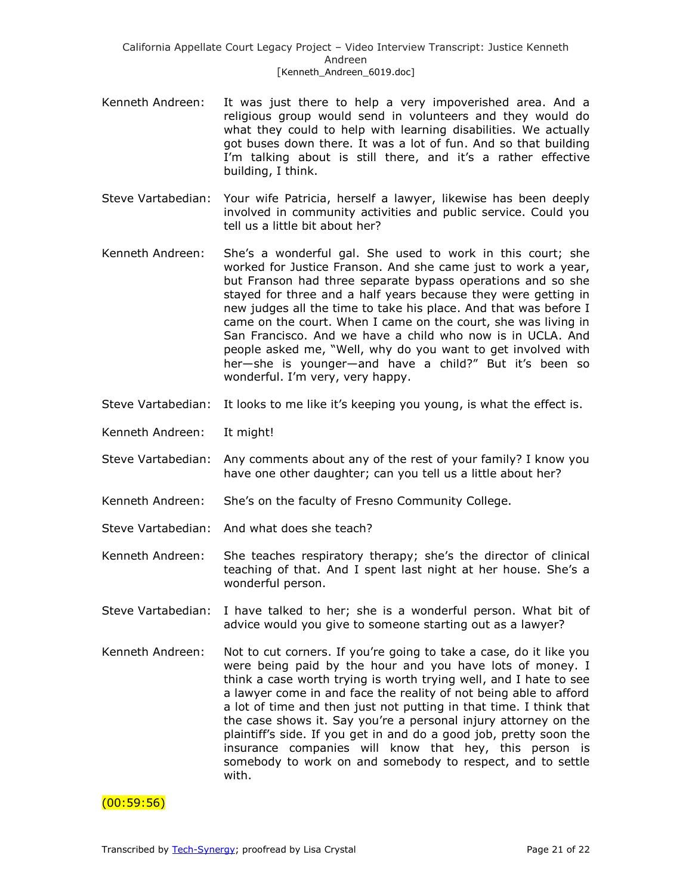- Kenneth Andreen: It was just there to help a very impoverished area. And a religious group would send in volunteers and they would do what they could to help with learning disabilities. We actually got buses down there. It was a lot of fun. And so that building I'm talking about is still there, and it's a rather effective building, I think.
- Steve Vartabedian: Your wife Patricia, herself a lawyer, likewise has been deeply involved in community activities and public service. Could you tell us a little bit about her?
- Kenneth Andreen: She's a wonderful gal. She used to work in this court; she worked for Justice Franson. And she came just to work a year, but Franson had three separate bypass operations and so she stayed for three and a half years because they were getting in new judges all the time to take his place. And that was before I came on the court. When I came on the court, she was living in San Francisco. And we have a child who now is in UCLA. And people asked me, "Well, why do you want to get involved with her-she is younger-and have a child?" But it's been so wonderful. I'm very, very happy.
- Steve Vartabedian: It looks to me like it's keeping you young, is what the effect is.
- Kenneth Andreen: It might!
- Steve Vartabedian: Any comments about any of the rest of your family? I know you have one other daughter; can you tell us a little about her?
- Kenneth Andreen: She's on the faculty of Fresno Community College.
- Steve Vartabedian: And what does she teach?
- Kenneth Andreen: She teaches respiratory therapy; she's the director of clinical teaching of that. And I spent last night at her house. She's a wonderful person.
- Steve Vartabedian: I have talked to her; she is a wonderful person. What bit of advice would you give to someone starting out as a lawyer?
- Kenneth Andreen: Not to cut corners. If you're going to take a case, do it like you were being paid by the hour and you have lots of money. I think a case worth trying is worth trying well, and I hate to see a lawyer come in and face the reality of not being able to afford a lot of time and then just not putting in that time. I think that the case shows it. Say you're a personal injury attorney on the plaintiff's side. If you get in and do a good job, pretty soon the insurance companies will know that hey, this person is somebody to work on and somebody to respect, and to settle with.

## $(00:59:56)$